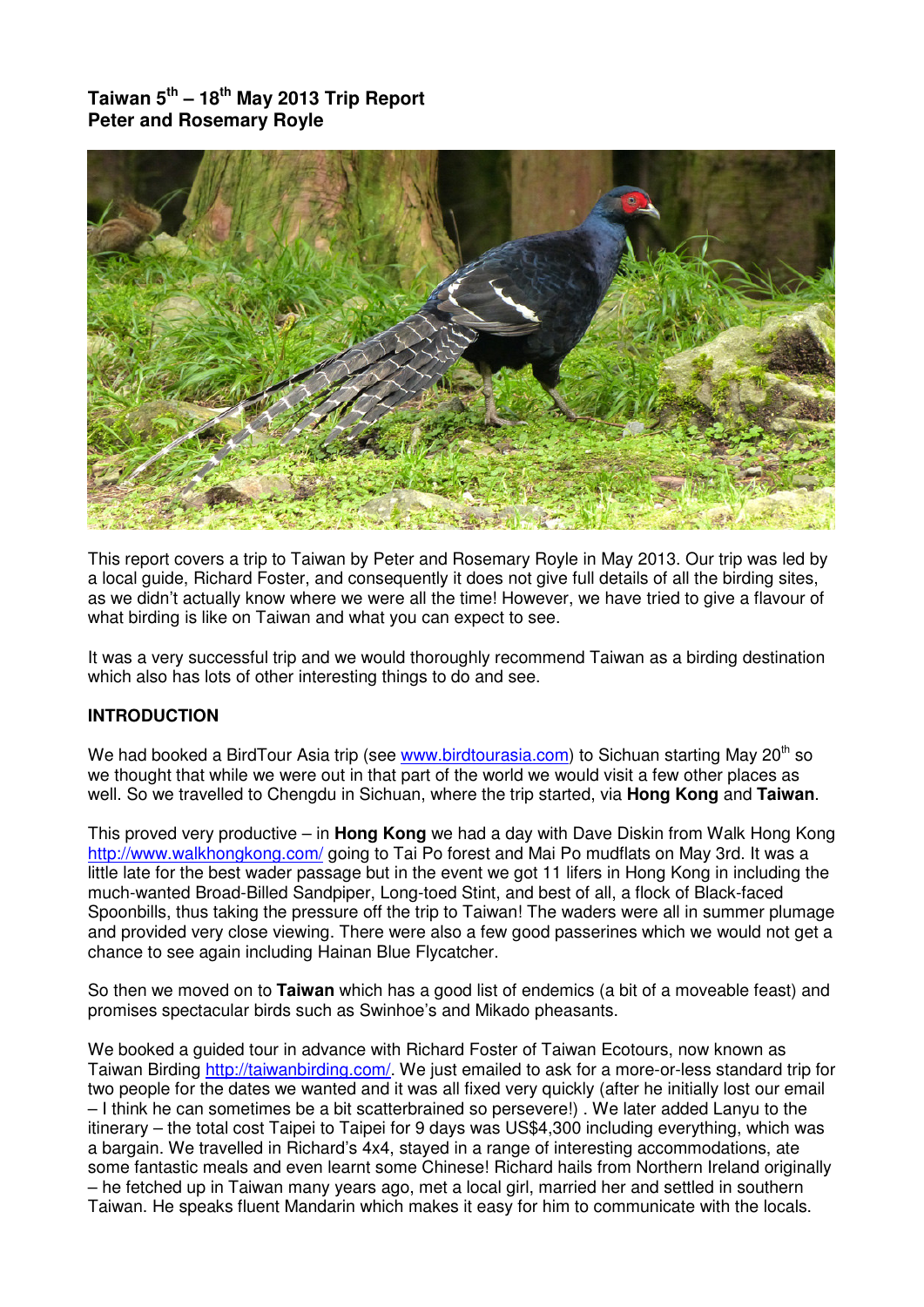**Taiwan 5th – 18th May 2013 Trip Report Peter and Rosemary Royle** 



This report covers a trip to Taiwan by Peter and Rosemary Royle in May 2013. Our trip was led by a local guide, Richard Foster, and consequently it does not give full details of all the birding sites, as we didn't actually know where we were all the time! However, we have tried to give a flavour of what birding is like on Taiwan and what you can expect to see.

It was a very successful trip and we would thoroughly recommend Taiwan as a birding destination which also has lots of other interesting things to do and see.

## **INTRODUCTION**

We had booked a BirdTour Asia trip (see www.birdtourasia.com) to Sichuan starting May  $20<sup>th</sup>$  so we thought that while we were out in that part of the world we would visit a few other places as well. So we travelled to Chengdu in Sichuan, where the trip started, via **Hong Kong** and **Taiwan**.

This proved very productive – in **Hong Kong** we had a day with Dave Diskin from Walk Hong Kong http://www.walkhongkong.com/ going to Tai Po forest and Mai Po mudflats on May 3rd. It was a little late for the best wader passage but in the event we got 11 lifers in Hong Kong in including the much-wanted Broad-Billed Sandpiper, Long-toed Stint, and best of all, a flock of Black-faced Spoonbills, thus taking the pressure off the trip to Taiwan! The waders were all in summer plumage and provided very close viewing. There were also a few good passerines which we would not get a chance to see again including Hainan Blue Flycatcher.

So then we moved on to **Taiwan** which has a good list of endemics (a bit of a moveable feast) and promises spectacular birds such as Swinhoe's and Mikado pheasants.

We booked a guided tour in advance with Richard Foster of Taiwan Ecotours, now known as Taiwan Birding http://taiwanbirding.com/. We just emailed to ask for a more-or-less standard trip for two people for the dates we wanted and it was all fixed very quickly (after he initially lost our email – I think he can sometimes be a bit scatterbrained so persevere!) . We later added Lanyu to the itinerary – the total cost Taipei to Taipei for 9 days was US\$4,300 including everything, which was a bargain. We travelled in Richard's 4x4, stayed in a range of interesting accommodations, ate some fantastic meals and even learnt some Chinese! Richard hails from Northern Ireland originally – he fetched up in Taiwan many years ago, met a local girl, married her and settled in southern Taiwan. He speaks fluent Mandarin which makes it easy for him to communicate with the locals.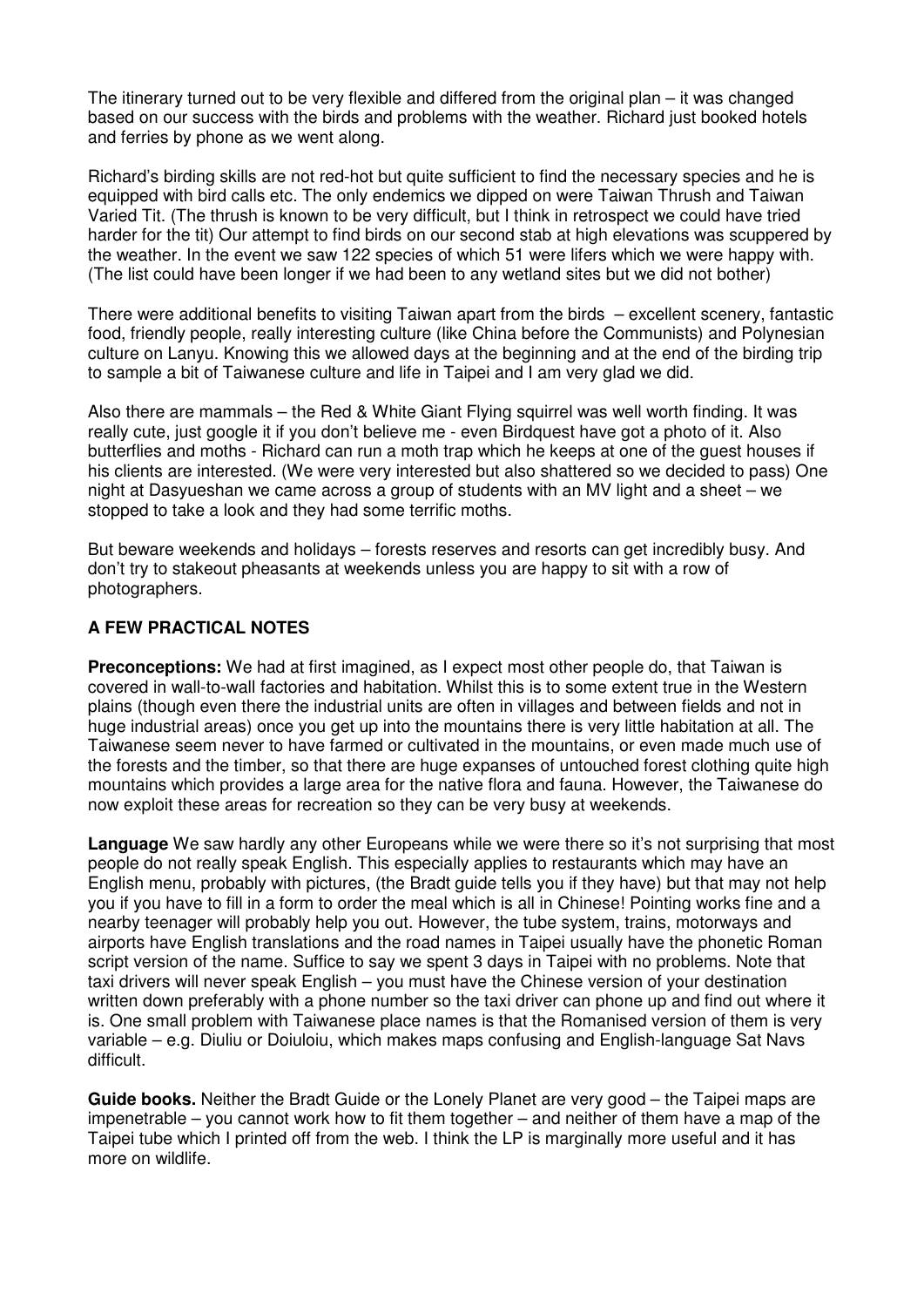The itinerary turned out to be very flexible and differed from the original plan – it was changed based on our success with the birds and problems with the weather. Richard just booked hotels and ferries by phone as we went along.

Richard's birding skills are not red-hot but quite sufficient to find the necessary species and he is equipped with bird calls etc. The only endemics we dipped on were Taiwan Thrush and Taiwan Varied Tit. (The thrush is known to be very difficult, but I think in retrospect we could have tried harder for the tit) Our attempt to find birds on our second stab at high elevations was scuppered by the weather. In the event we saw 122 species of which 51 were lifers which we were happy with. (The list could have been longer if we had been to any wetland sites but we did not bother)

There were additional benefits to visiting Taiwan apart from the birds – excellent scenery, fantastic food, friendly people, really interesting culture (like China before the Communists) and Polynesian culture on Lanyu. Knowing this we allowed days at the beginning and at the end of the birding trip to sample a bit of Taiwanese culture and life in Taipei and I am very glad we did.

Also there are mammals – the Red & White Giant Flying squirrel was well worth finding. It was really cute, just google it if you don't believe me - even Birdquest have got a photo of it. Also butterflies and moths - Richard can run a moth trap which he keeps at one of the guest houses if his clients are interested. (We were very interested but also shattered so we decided to pass) One night at Dasyueshan we came across a group of students with an MV light and a sheet – we stopped to take a look and they had some terrific moths.

But beware weekends and holidays – forests reserves and resorts can get incredibly busy. And don't try to stakeout pheasants at weekends unless you are happy to sit with a row of photographers.

## **A FEW PRACTICAL NOTES**

**Preconceptions:** We had at first imagined, as I expect most other people do, that Taiwan is covered in wall-to-wall factories and habitation. Whilst this is to some extent true in the Western plains (though even there the industrial units are often in villages and between fields and not in huge industrial areas) once you get up into the mountains there is very little habitation at all. The Taiwanese seem never to have farmed or cultivated in the mountains, or even made much use of the forests and the timber, so that there are huge expanses of untouched forest clothing quite high mountains which provides a large area for the native flora and fauna. However, the Taiwanese do now exploit these areas for recreation so they can be very busy at weekends.

**Language** We saw hardly any other Europeans while we were there so it's not surprising that most people do not really speak English. This especially applies to restaurants which may have an English menu, probably with pictures, (the Bradt guide tells you if they have) but that may not help you if you have to fill in a form to order the meal which is all in Chinese! Pointing works fine and a nearby teenager will probably help you out. However, the tube system, trains, motorways and airports have English translations and the road names in Taipei usually have the phonetic Roman script version of the name. Suffice to say we spent 3 days in Taipei with no problems. Note that taxi drivers will never speak English – you must have the Chinese version of your destination written down preferably with a phone number so the taxi driver can phone up and find out where it is. One small problem with Taiwanese place names is that the Romanised version of them is very variable – e.g. Diuliu or Doiuloiu, which makes maps confusing and English-language Sat Navs difficult.

**Guide books.** Neither the Bradt Guide or the Lonely Planet are very good – the Taipei maps are impenetrable – you cannot work how to fit them together – and neither of them have a map of the Taipei tube which I printed off from the web. I think the LP is marginally more useful and it has more on wildlife.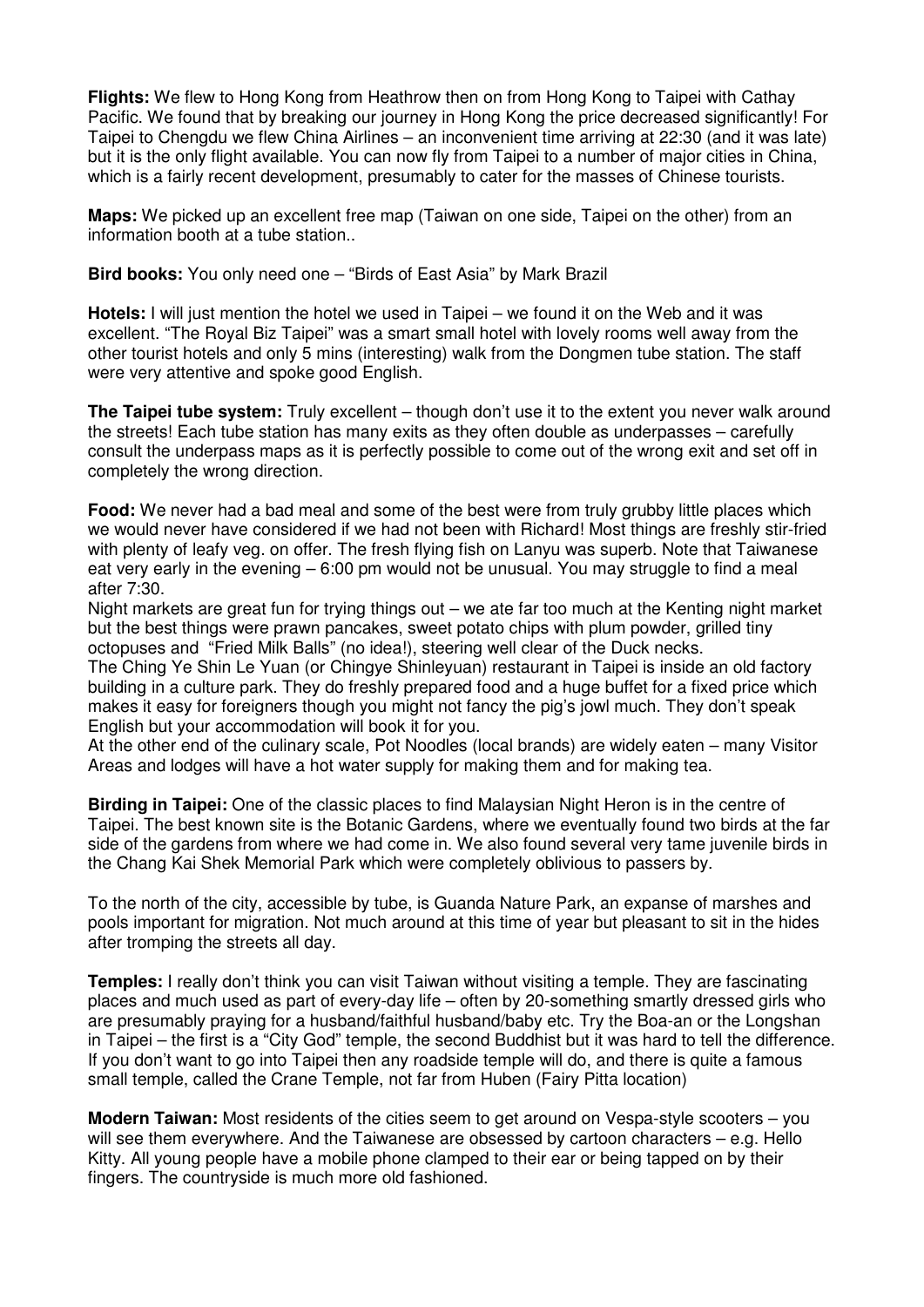**Flights:** We flew to Hong Kong from Heathrow then on from Hong Kong to Taipei with Cathay Pacific. We found that by breaking our journey in Hong Kong the price decreased significantly! For Taipei to Chengdu we flew China Airlines – an inconvenient time arriving at 22:30 (and it was late) but it is the only flight available. You can now fly from Taipei to a number of major cities in China, which is a fairly recent development, presumably to cater for the masses of Chinese tourists.

**Maps:** We picked up an excellent free map (Taiwan on one side, Taipei on the other) from an information booth at a tube station..

**Bird books:** You only need one – "Birds of East Asia" by Mark Brazil

**Hotels:** I will just mention the hotel we used in Taipei – we found it on the Web and it was excellent. "The Royal Biz Taipei" was a smart small hotel with lovely rooms well away from the other tourist hotels and only 5 mins (interesting) walk from the Dongmen tube station. The staff were very attentive and spoke good English.

**The Taipei tube system:** Truly excellent – though don't use it to the extent you never walk around the streets! Each tube station has many exits as they often double as underpasses – carefully consult the underpass maps as it is perfectly possible to come out of the wrong exit and set off in completely the wrong direction.

**Food:** We never had a bad meal and some of the best were from truly grubby little places which we would never have considered if we had not been with Richard! Most things are freshly stir-fried with plenty of leafy veg. on offer. The fresh flying fish on Lanyu was superb. Note that Taiwanese eat very early in the evening – 6:00 pm would not be unusual. You may struggle to find a meal after 7:30.

Night markets are great fun for trying things out – we ate far too much at the Kenting night market but the best things were prawn pancakes, sweet potato chips with plum powder, grilled tiny octopuses and "Fried Milk Balls" (no idea!), steering well clear of the Duck necks.

The Ching Ye Shin Le Yuan (or Chingye Shinleyuan) restaurant in Taipei is inside an old factory building in a culture park. They do freshly prepared food and a huge buffet for a fixed price which makes it easy for foreigners though you might not fancy the pig's jowl much. They don't speak English but your accommodation will book it for you.

At the other end of the culinary scale, Pot Noodles (local brands) are widely eaten – many Visitor Areas and lodges will have a hot water supply for making them and for making tea.

**Birding in Taipei:** One of the classic places to find Malaysian Night Heron is in the centre of Taipei. The best known site is the Botanic Gardens, where we eventually found two birds at the far side of the gardens from where we had come in. We also found several very tame juvenile birds in the Chang Kai Shek Memorial Park which were completely oblivious to passers by.

To the north of the city, accessible by tube, is Guanda Nature Park, an expanse of marshes and pools important for migration. Not much around at this time of year but pleasant to sit in the hides after tromping the streets all day.

**Temples:** I really don't think you can visit Taiwan without visiting a temple. They are fascinating places and much used as part of every-day life – often by 20-something smartly dressed girls who are presumably praying for a husband/faithful husband/baby etc. Try the Boa-an or the Longshan in Taipei – the first is a "City God" temple, the second Buddhist but it was hard to tell the difference. If you don't want to go into Taipei then any roadside temple will do, and there is quite a famous small temple, called the Crane Temple, not far from Huben (Fairy Pitta location)

**Modern Taiwan:** Most residents of the cities seem to get around on Vespa-style scooters – you will see them everywhere. And the Taiwanese are obsessed by cartoon characters – e.g. Hello Kitty. All young people have a mobile phone clamped to their ear or being tapped on by their fingers. The countryside is much more old fashioned.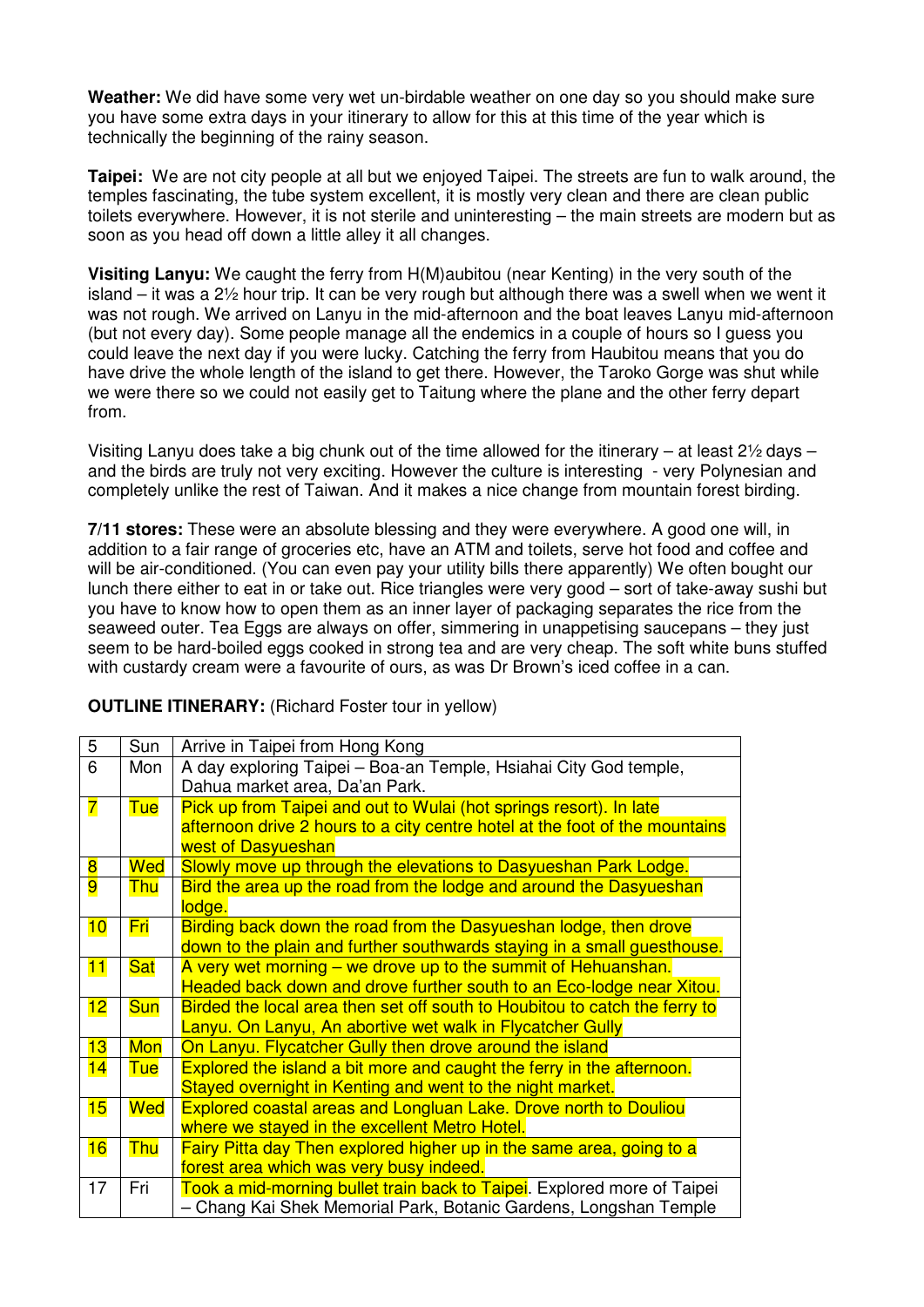**Weather:** We did have some very wet un-birdable weather on one day so you should make sure you have some extra days in your itinerary to allow for this at this time of the year which is technically the beginning of the rainy season.

**Taipei:** We are not city people at all but we enjoyed Taipei. The streets are fun to walk around, the temples fascinating, the tube system excellent, it is mostly very clean and there are clean public toilets everywhere. However, it is not sterile and uninteresting – the main streets are modern but as soon as you head off down a little alley it all changes.

**Visiting Lanyu:** We caught the ferry from H(M)aubitou (near Kenting) in the very south of the island – it was a 2½ hour trip. It can be very rough but although there was a swell when we went it was not rough. We arrived on Lanyu in the mid-afternoon and the boat leaves Lanyu mid-afternoon (but not every day). Some people manage all the endemics in a couple of hours so I guess you could leave the next day if you were lucky. Catching the ferry from Haubitou means that you do have drive the whole length of the island to get there. However, the Taroko Gorge was shut while we were there so we could not easily get to Taitung where the plane and the other ferry depart from.

Visiting Lanyu does take a big chunk out of the time allowed for the itinerary – at least 2½ days – and the birds are truly not very exciting. However the culture is interesting - very Polynesian and completely unlike the rest of Taiwan. And it makes a nice change from mountain forest birding.

**7/11 stores:** These were an absolute blessing and they were everywhere. A good one will, in addition to a fair range of groceries etc, have an ATM and toilets, serve hot food and coffee and will be air-conditioned. (You can even pay your utility bills there apparently) We often bought our lunch there either to eat in or take out. Rice triangles were very good – sort of take-away sushi but you have to know how to open them as an inner layer of packaging separates the rice from the seaweed outer. Tea Eggs are always on offer, simmering in unappetising saucepans – they just seem to be hard-boiled eggs cooked in strong tea and are very cheap. The soft white buns stuffed with custardy cream were a favourite of ours, as was Dr Brown's iced coffee in a can.

**OUTLINE ITINERARY:** (Richard Foster tour in yellow)

| $\overline{5}$          | Sun        | Arrive in Taipei from Hong Kong                                             |  |  |  |
|-------------------------|------------|-----------------------------------------------------------------------------|--|--|--|
| 6                       | Mon        | A day exploring Taipei - Boa-an Temple, Hsiahai City God temple,            |  |  |  |
|                         |            | Dahua market area, Da'an Park.                                              |  |  |  |
| $\overline{\mathbf{7}}$ | <b>Tue</b> | Pick up from Taipei and out to Wulai (hot springs resort). In late          |  |  |  |
|                         |            | afternoon drive 2 hours to a city centre hotel at the foot of the mountains |  |  |  |
|                         |            | west of Dasyueshan                                                          |  |  |  |
| $\overline{\mathbf{8}}$ | Wed        | Slowly move up through the elevations to Dasyueshan Park Lodge.             |  |  |  |
| 9                       | <b>Thu</b> | Bird the area up the road from the lodge and around the Dasyueshan          |  |  |  |
|                         |            | lodge.                                                                      |  |  |  |
| 10                      | <u>Fri</u> | Birding back down the road from the Dasyueshan lodge, then drove            |  |  |  |
|                         |            | down to the plain and further southwards staying in a small guesthouse.     |  |  |  |
| 11                      | <b>Sat</b> | A very wet morning – we drove up to the summit of Hehuanshan.               |  |  |  |
|                         |            | Headed back down and drove further south to an Eco-lodge near Xitou.        |  |  |  |
| 12                      | <b>Sun</b> | Birded the local area then set off south to Houbitou to catch the ferry to  |  |  |  |
|                         |            | Lanyu. On Lanyu, An abortive wet walk in Flycatcher Gully                   |  |  |  |
| 13                      | <b>Mon</b> | On Lanyu. Flycatcher Gully then drove around the island                     |  |  |  |
| 14                      | Tue        | Explored the island a bit more and caught the ferry in the afternoon.       |  |  |  |
|                         |            | Stayed overnight in Kenting and went to the night market.                   |  |  |  |
| 15                      | Wed        | <b>Explored coastal areas and Longluan Lake. Drove north to Douliou</b>     |  |  |  |
|                         |            | where we stayed in the excellent Metro Hotel.                               |  |  |  |
| 16                      | <b>Thu</b> | Fairy Pitta day Then explored higher up in the same area, going to a        |  |  |  |
|                         |            | forest area which was very busy indeed.                                     |  |  |  |
| 17                      | Fri        | Took a mid-morning bullet train back to Taipei. Explored more of Taipei     |  |  |  |
|                         |            | - Chang Kai Shek Memorial Park, Botanic Gardens, Longshan Temple            |  |  |  |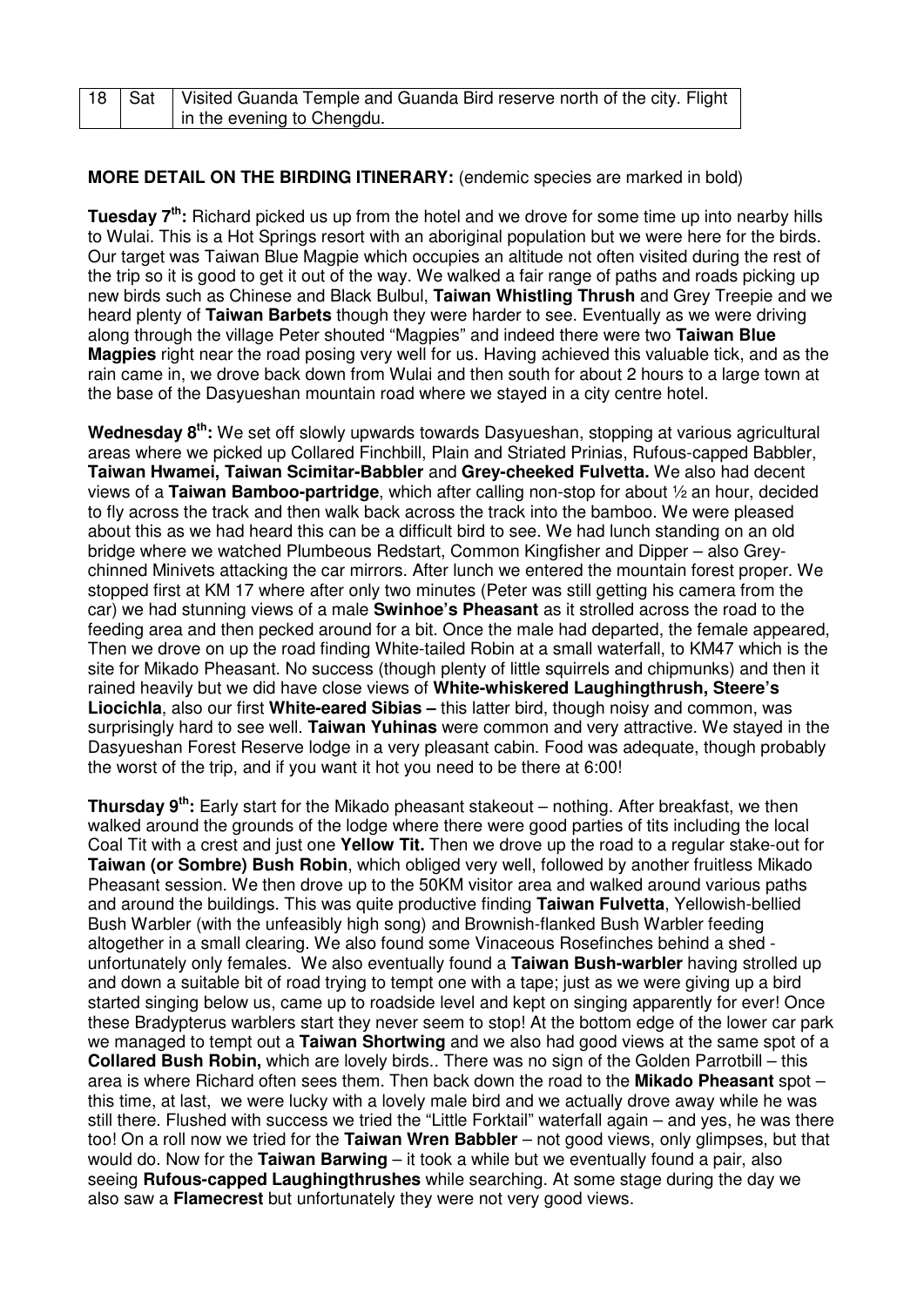|  | 18   Sat   Visited Guanda Temple and Guanda Bird reserve north of the city. Flight |
|--|------------------------------------------------------------------------------------|
|  | In the evening to Chengdu.                                                         |

## **MORE DETAIL ON THE BIRDING ITINERARY:** (endemic species are marked in bold)

**Tuesday 7th:** Richard picked us up from the hotel and we drove for some time up into nearby hills to Wulai. This is a Hot Springs resort with an aboriginal population but we were here for the birds. Our target was Taiwan Blue Magpie which occupies an altitude not often visited during the rest of the trip so it is good to get it out of the way. We walked a fair range of paths and roads picking up new birds such as Chinese and Black Bulbul, **Taiwan Whistling Thrush** and Grey Treepie and we heard plenty of **Taiwan Barbets** though they were harder to see. Eventually as we were driving along through the village Peter shouted "Magpies" and indeed there were two **Taiwan Blue Magpies** right near the road posing very well for us. Having achieved this valuable tick, and as the rain came in, we drove back down from Wulai and then south for about 2 hours to a large town at the base of the Dasyueshan mountain road where we stayed in a city centre hotel.

**Wednesday 8th:** We set off slowly upwards towards Dasyueshan, stopping at various agricultural areas where we picked up Collared Finchbill, Plain and Striated Prinias, Rufous-capped Babbler, **Taiwan Hwamei, Taiwan Scimitar-Babbler** and **Grey-cheeked Fulvetta.** We also had decent views of a **Taiwan Bamboo-partridge**, which after calling non-stop for about ½ an hour, decided to fly across the track and then walk back across the track into the bamboo. We were pleased about this as we had heard this can be a difficult bird to see. We had lunch standing on an old bridge where we watched Plumbeous Redstart, Common Kingfisher and Dipper – also Greychinned Minivets attacking the car mirrors. After lunch we entered the mountain forest proper. We stopped first at KM 17 where after only two minutes (Peter was still getting his camera from the car) we had stunning views of a male **Swinhoe's Pheasant** as it strolled across the road to the feeding area and then pecked around for a bit. Once the male had departed, the female appeared, Then we drove on up the road finding White-tailed Robin at a small waterfall, to KM47 which is the site for Mikado Pheasant. No success (though plenty of little squirrels and chipmunks) and then it rained heavily but we did have close views of **White-whiskered Laughingthrush, Steere's Liocichla**, also our first **White-eared Sibias –** this latter bird, though noisy and common, was surprisingly hard to see well. **Taiwan Yuhinas** were common and very attractive. We stayed in the Dasyueshan Forest Reserve lodge in a very pleasant cabin. Food was adequate, though probably the worst of the trip, and if you want it hot you need to be there at 6:00!

**Thursday 9th:** Early start for the Mikado pheasant stakeout – nothing. After breakfast, we then walked around the grounds of the lodge where there were good parties of tits including the local Coal Tit with a crest and just one **Yellow Tit.** Then we drove up the road to a regular stake-out for **Taiwan (or Sombre) Bush Robin**, which obliged very well, followed by another fruitless Mikado Pheasant session. We then drove up to the 50KM visitor area and walked around various paths and around the buildings. This was quite productive finding **Taiwan Fulvetta**, Yellowish-bellied Bush Warbler (with the unfeasibly high song) and Brownish-flanked Bush Warbler feeding altogether in a small clearing. We also found some Vinaceous Rosefinches behind a shed unfortunately only females. We also eventually found a **Taiwan Bush-warbler** having strolled up and down a suitable bit of road trying to tempt one with a tape; just as we were giving up a bird started singing below us, came up to roadside level and kept on singing apparently for ever! Once these Bradypterus warblers start they never seem to stop! At the bottom edge of the lower car park we managed to tempt out a **Taiwan Shortwing** and we also had good views at the same spot of a **Collared Bush Robin,** which are lovely birds.. There was no sign of the Golden Parrotbill – this area is where Richard often sees them. Then back down the road to the **Mikado Pheasant** spot – this time, at last, we were lucky with a lovely male bird and we actually drove away while he was still there. Flushed with success we tried the "Little Forktail" waterfall again – and yes, he was there too! On a roll now we tried for the **Taiwan Wren Babbler** – not good views, only glimpses, but that would do. Now for the **Taiwan Barwing** – it took a while but we eventually found a pair, also seeing **Rufous-capped Laughingthrushes** while searching. At some stage during the day we also saw a **Flamecrest** but unfortunately they were not very good views.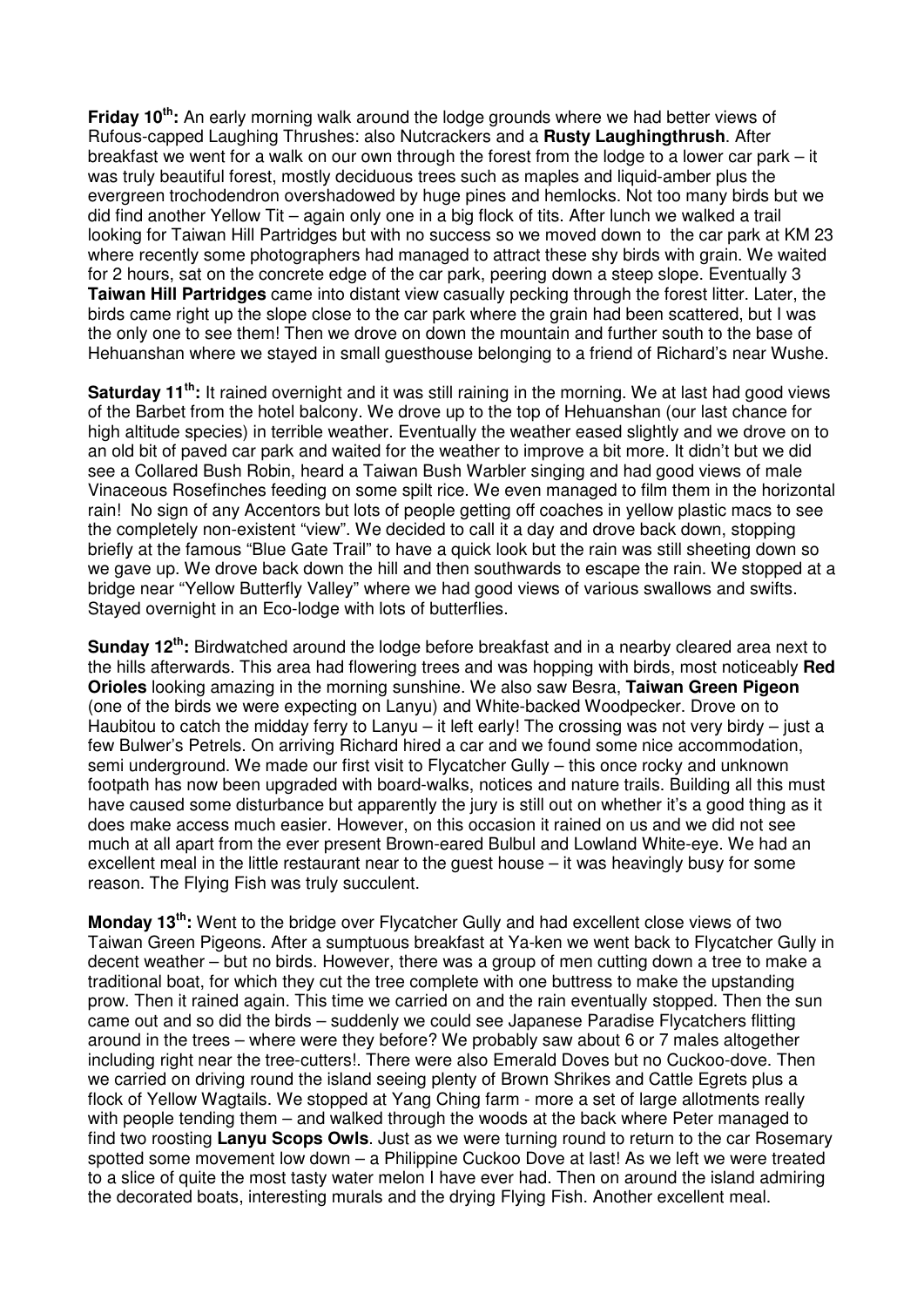**Friday 10th:** An early morning walk around the lodge grounds where we had better views of Rufous-capped Laughing Thrushes: also Nutcrackers and a **Rusty Laughingthrush**. After breakfast we went for a walk on our own through the forest from the lodge to a lower car park – it was truly beautiful forest, mostly deciduous trees such as maples and liquid-amber plus the evergreen trochodendron overshadowed by huge pines and hemlocks. Not too many birds but we did find another Yellow Tit – again only one in a big flock of tits. After lunch we walked a trail looking for Taiwan Hill Partridges but with no success so we moved down to the car park at KM 23 where recently some photographers had managed to attract these shy birds with grain. We waited for 2 hours, sat on the concrete edge of the car park, peering down a steep slope. Eventually 3 **Taiwan Hill Partridges** came into distant view casually pecking through the forest litter. Later, the birds came right up the slope close to the car park where the grain had been scattered, but I was the only one to see them! Then we drove on down the mountain and further south to the base of Hehuanshan where we stayed in small guesthouse belonging to a friend of Richard's near Wushe.

**Saturday 11th:** It rained overnight and it was still raining in the morning. We at last had good views of the Barbet from the hotel balcony. We drove up to the top of Hehuanshan (our last chance for high altitude species) in terrible weather. Eventually the weather eased slightly and we drove on to an old bit of paved car park and waited for the weather to improve a bit more. It didn't but we did see a Collared Bush Robin, heard a Taiwan Bush Warbler singing and had good views of male Vinaceous Rosefinches feeding on some spilt rice. We even managed to film them in the horizontal rain! No sign of any Accentors but lots of people getting off coaches in yellow plastic macs to see the completely non-existent "view". We decided to call it a day and drove back down, stopping briefly at the famous "Blue Gate Trail" to have a quick look but the rain was still sheeting down so we gave up. We drove back down the hill and then southwards to escape the rain. We stopped at a bridge near "Yellow Butterfly Valley" where we had good views of various swallows and swifts. Stayed overnight in an Eco-lodge with lots of butterflies.

**Sunday 12th:** Birdwatched around the lodge before breakfast and in a nearby cleared area next to the hills afterwards. This area had flowering trees and was hopping with birds, most noticeably **Red Orioles** looking amazing in the morning sunshine. We also saw Besra, **Taiwan Green Pigeon** (one of the birds we were expecting on Lanyu) and White-backed Woodpecker. Drove on to Haubitou to catch the midday ferry to Lanyu – it left early! The crossing was not very birdy – just a few Bulwer's Petrels. On arriving Richard hired a car and we found some nice accommodation, semi underground. We made our first visit to Flycatcher Gully – this once rocky and unknown footpath has now been upgraded with board-walks, notices and nature trails. Building all this must have caused some disturbance but apparently the jury is still out on whether it's a good thing as it does make access much easier. However, on this occasion it rained on us and we did not see much at all apart from the ever present Brown-eared Bulbul and Lowland White-eye. We had an excellent meal in the little restaurant near to the guest house – it was heavingly busy for some reason. The Flying Fish was truly succulent.

**Monday 13th:** Went to the bridge over Flycatcher Gully and had excellent close views of two Taiwan Green Pigeons. After a sumptuous breakfast at Ya-ken we went back to Flycatcher Gully in decent weather – but no birds. However, there was a group of men cutting down a tree to make a traditional boat, for which they cut the tree complete with one buttress to make the upstanding prow. Then it rained again. This time we carried on and the rain eventually stopped. Then the sun came out and so did the birds – suddenly we could see Japanese Paradise Flycatchers flitting around in the trees – where were they before? We probably saw about 6 or 7 males altogether including right near the tree-cutters!. There were also Emerald Doves but no Cuckoo-dove. Then we carried on driving round the island seeing plenty of Brown Shrikes and Cattle Egrets plus a flock of Yellow Wagtails. We stopped at Yang Ching farm - more a set of large allotments really with people tending them – and walked through the woods at the back where Peter managed to find two roosting **Lanyu Scops Owls**. Just as we were turning round to return to the car Rosemary spotted some movement low down – a Philippine Cuckoo Dove at last! As we left we were treated to a slice of quite the most tasty water melon I have ever had. Then on around the island admiring the decorated boats, interesting murals and the drying Flying Fish. Another excellent meal.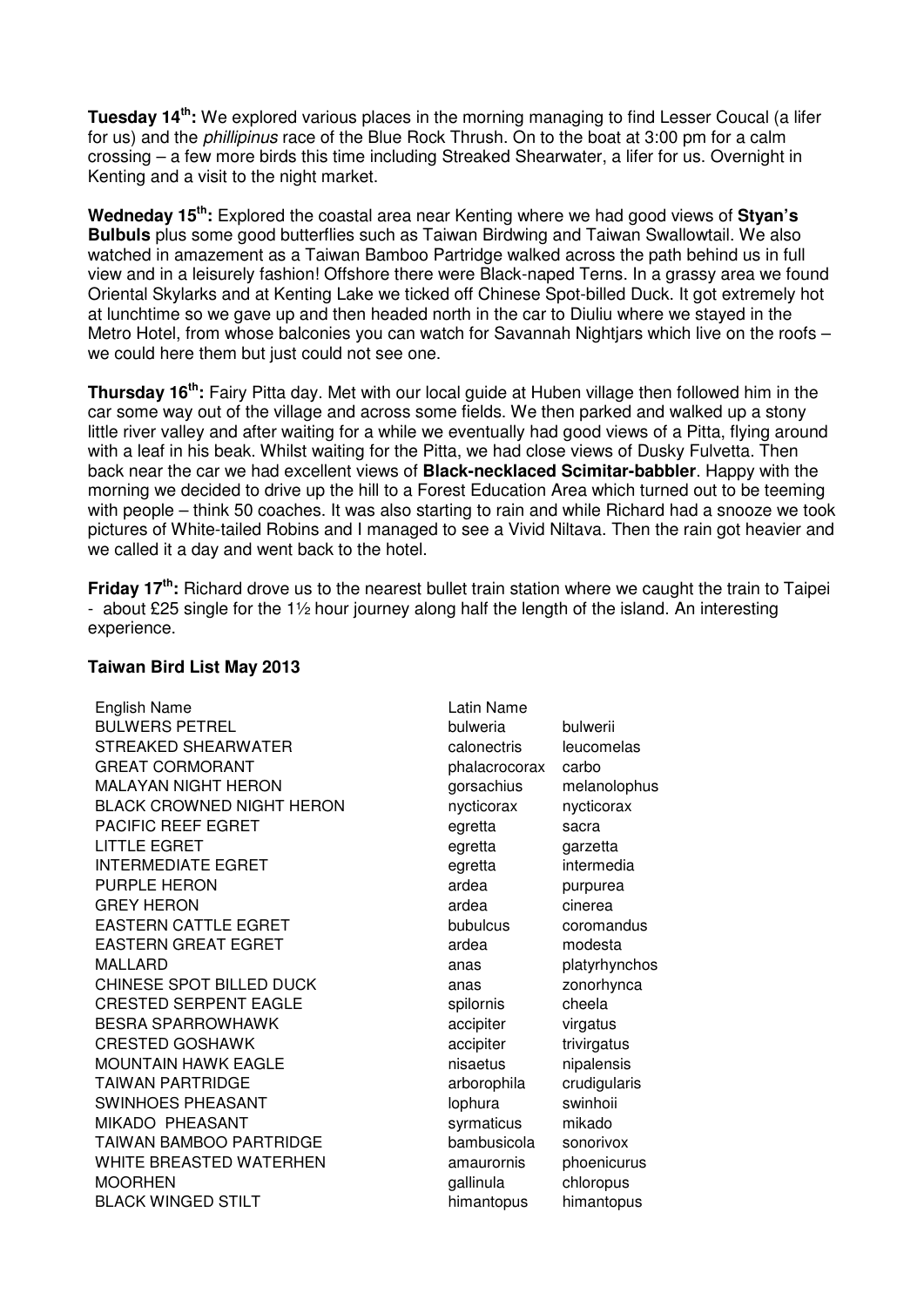**Tuesday 14th:** We explored various places in the morning managing to find Lesser Coucal (a lifer for us) and the phillipinus race of the Blue Rock Thrush. On to the boat at 3:00 pm for a calm crossing – a few more birds this time including Streaked Shearwater, a lifer for us. Overnight in Kenting and a visit to the night market.

**Wedneday 15th:** Explored the coastal area near Kenting where we had good views of **Styan's Bulbuls** plus some good butterflies such as Taiwan Birdwing and Taiwan Swallowtail. We also watched in amazement as a Taiwan Bamboo Partridge walked across the path behind us in full view and in a leisurely fashion! Offshore there were Black-naped Terns. In a grassy area we found Oriental Skylarks and at Kenting Lake we ticked off Chinese Spot-billed Duck. It got extremely hot at lunchtime so we gave up and then headed north in the car to Diuliu where we stayed in the Metro Hotel, from whose balconies you can watch for Savannah Nightjars which live on the roofs – we could here them but just could not see one.

**Thursday 16th:** Fairy Pitta day. Met with our local guide at Huben village then followed him in the car some way out of the village and across some fields. We then parked and walked up a stony little river valley and after waiting for a while we eventually had good views of a Pitta, flying around with a leaf in his beak. Whilst waiting for the Pitta, we had close views of Dusky Fulvetta. Then back near the car we had excellent views of **Black-necklaced Scimitar-babbler**. Happy with the morning we decided to drive up the hill to a Forest Education Area which turned out to be teeming with people – think 50 coaches. It was also starting to rain and while Richard had a snooze we took pictures of White-tailed Robins and I managed to see a Vivid Niltava. Then the rain got heavier and we called it a day and went back to the hotel.

**Friday 17th:** Richard drove us to the nearest bullet train station where we caught the train to Taipei - about £25 single for the 1½ hour journey along half the length of the island. An interesting experience.

| English Name                     | Latin Name    |             |
|----------------------------------|---------------|-------------|
| <b>BULWERS PETREL</b>            | bulweria      | bulwerii    |
| STREAKED SHEARWATER              | calonectris   | leucomel    |
| <b>GREAT CORMORANT</b>           | phalacrocorax | carbo       |
| <b>MALAYAN NIGHT HERON</b>       | gorsachius    | melanolo    |
| <b>BLACK CROWNED NIGHT HERON</b> | nycticorax    | nycticora   |
| PACIFIC REEF EGRET               | egretta       | sacra       |
| <b>LITTLE EGRET</b>              | egretta       | garzetta    |
| <b>INTERMEDIATE EGRET</b>        | egretta       | intermedi   |
| PURPLE HERON                     | ardea         | purpurea    |
| <b>GREY HERON</b>                | ardea         | cinerea     |
| <b>EASTERN CATTLE EGRET</b>      | bubulcus      | coroman     |
| <b>EASTERN GREAT EGRET</b>       | ardea         | modesta     |
| <b>MALLARD</b>                   | anas          | platyrhyn   |
| CHINESE SPOT BILLED DUCK         | anas          | zonorhyn    |
| <b>CRESTED SERPENT EAGLE</b>     | spilornis     | cheela      |
| <b>BESRA SPARROWHAWK</b>         | accipiter     | virgatus    |
| <b>CRESTED GOSHAWK</b>           | accipiter     | trivirgatus |
| <b>MOUNTAIN HAWK EAGLE</b>       | nisaetus      | nipalensi:  |
| <b>TAIWAN PARTRIDGE</b>          | arborophila   | crudigula   |
| SWINHOES PHEASANT                | lophura       | swinhoii    |
| <b>MIKADO PHEASANT</b>           | syrmaticus    | mikado      |
| TAIWAN BAMBOO PARTRIDGE          | bambusicola   | sonorivo    |
| WHITE BREASTED WATERHEN          | amaurornis    | phoenicu    |
| <b>MOORHEN</b>                   | gallinula     | chloropus   |
| <b>BLACK WINGED STILT</b>        | himantopus    | himantop    |

## **Taiwan Bird List May 2013**

Latin Name calonectris leucomelas phalacrocorax carbo gorsachius melanolophus nycticorax nycticorax egretta garzetta egretta intermedia ardea purpurea bubulcus coromandus anas platyrhynchos anas zonorhynca spilornis cheela accipiter virgatus accipiter trivirgatus nisaetus nipalensis arborophila crudigularis syrmaticus mikado bambusicola sonorivox amaurornis phoenicurus gallinula chloropus himantopus himantopus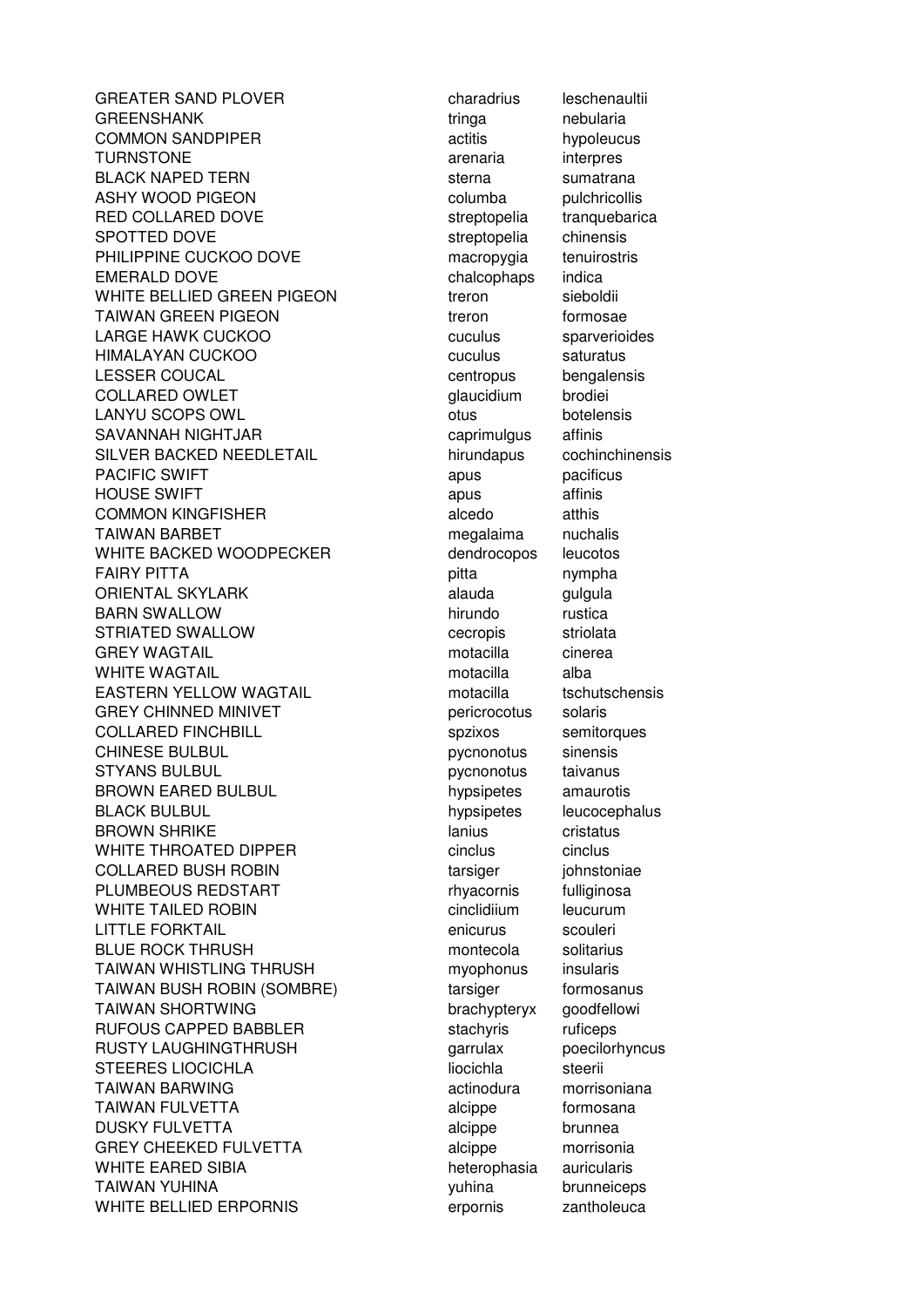GREATER SAND PLOVER charadrius leschenaultii GREENSHANK tringa nebularia COMMON SANDPIPER actitis hypoleucus TURNSTONE arenaria interpres BLACK NAPED TERN sterna sumatrana ASHY WOOD PIGEON CONNECTED Columba pulchricollis RED COLLARED DOVE streptopelia tranquebarica SPOTTED DOVE streptopelia chinensis PHILIPPINE CUCKOO DOVE macropygia tenuirostris EMERALD DOVE chalcophaps indica WHITE BELLIED GREEN PIGEON treron sieboldii TAIWAN GREEN PIGEON TAIWAN TAIWAN GREEN PIGEON LARGE HAWK CUCKOO **cuculus** cuculus sparverioides HIMALAYAN CUCKOO **cuculus** cuculus saturatus LESSER COUCAL **centropus** bengalensis COLLARED OWLET glaucidium brodiei LANYU SCOPS OWL **DEVICES** otus botelensis SAVANNAH NIGHTJAR caprimulgus affinis SILVER BACKED NEEDLETAIL hirundapus cochinchinensis PACIFIC SWIFT **apus** pacificus pacificus HOUSE SWIFT **a** apus affinis COMMON KINGFISHER alcedo atthis TAIWAN BARBET **megalaima** nuchalis WHITE BACKED WOODPECKER dendrocopos leucotos FAIRY PITTA **pitta** nympha ORIENTAL SKYLARK alauda gulgula BARN SWALLOW **hirundo** rustica STRIATED SWALLOW CECTOR CECTOPIS Striolata GREY WAGTAIL **Example 20 Finally 10 Finally Contract** motacilla cinerea WHITE WAGTAIL **motacilla** alba EASTERN YELLOW WAGTAIL **EXAM** motacilla tschutschensis GREY CHINNED MINIVET **pericrocotus** solaris COLLARED FINCHBILL Spzixos semitorques CHINESE BULBUL **pychonotus** sinensis STYANS BULBUL **pychonotus** taivanus BROWN EARED BULBUL **hypsipetes** amaurotis BLACK BULBUL **hypsipetes** leucocephalus leucocephalus BROWN SHRIKE lanius cristatus cristatus cristatus cristatus cristatus cristatus cristatus cristatus cristatus c WHITE THROATED DIPPER Cinclus cinclus cinclus cinclus COLLARED BUSH ROBIN TARGET THE tarsiger in interventiae PLUMBEOUS REDSTART rhyacornis fulliginosa WHITE TAILED ROBIN CONSTRUCTION CONSTRUCTION CONTROLLER CONTROLLER CONTROLLER IN THE RESIDENCE OF THE RESIDENCE OF THE RESIDENCE OF THE RESIDENCE OF THE RESIDENCE OF THE RESIDENCE OF THE RESIDENCE OF THE RESIDENCE OF THE R LITTLE FORKTAIL enicurus scouleri BLUE ROCK THRUSH montecola solitarius TAIWAN WHISTLING THRUSH myophonus insularis TAIWAN BUSH ROBIN (SOMBRE) tarsiger formosanus TAIWAN SHORTWING brachypteryx goodfellowing RUFOUS CAPPED BABBLER stachyris ruficeps RUSTY LAUGHINGTHRUSH garrulax poecilorhyncus STEERES LIOCICHLA liocichla steerii TAIWAN BARWING **actinodura** morrisoniana TAIWAN FULVETTA alcippe formosana DUSKY FULVETTA alcippe brunnea GREY CHEEKED FULVETTA alcippe morrisonia WHITE EARED SIBIA **heterophasia** auricularis TAIWAN YUHINA **WARD TAIWAN YUHINA** brunneiceps WHITE BELLIED ERPORNIS erpornis zantholeuca